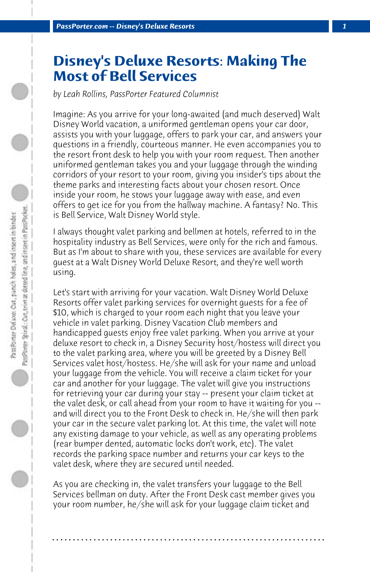## **Disney's Deluxe Resorts: Making The Most of Bell Services**

*by Leah Rollins, PassPorter Featured Columnist*

Imagine: As you arrive for your long-awaited (and much deserved) Walt Disney World vacation, a uniformed gentleman opens your car door, assists you with your luggage, offers to park your car, and answers your questions in a friendly, courteous manner. He even accompanies you to the resort front desk to help you with your room request. Then another uniformed gentleman takes you and your luggage through the winding corridors of your resort to your room, giving you insider's tips about the theme parks and interesting facts about your chosen resort. Once inside your room, he stows your luggage away with ease, and even offers to get ice for you from the hallway machine. A fantasy? No. This is Bell Service, Walt Disney World style.

I always thought valet parking and bellmen at hotels, referred to in the hospitality industry as Bell Services, were only for the rich and famous. But as I'm about to share with you, these services are available for every guest at a Walt Disney World Deluxe Resort, and they're well worth using.

Let's start with arriving for your vacation. Walt Disney World Deluxe Resorts offer valet parking services for overnight guests for a fee of \$10, which is charged to your room each night that you leave your vehicle in valet parking. Disney Vacation Club members and handicapped guests enjoy free valet parking. When you arrive at your deluxe resort to check in, a Disney Security host/hostess will direct you to the valet parking area, where you will be greeted by a Disney Bell Services valet host/hostess. He/she will ask for your name and unload your luggage from the vehicle. You will receive a claim ticket for your car and another for your luggage. The valet will give you instructions for retrieving your car during your stay -- present your claim ticket at the valet desk, or call ahead from your room to have it waiting for you - and will direct you to the Front Desk to check in. He/she will then park your car in the secure valet parking lot. At this time, the valet will note any existing damage to your vehicle, as well as any operating problems (rear bumper dented, automatic locks don't work, etc). The valet records the parking space number and returns your car keys to the valet desk, where they are secured until needed.

As you are checking in, the valet transfers your luggage to the Bell Services bellman on duty. After the Front Desk cast member gives you your room number, he/she will ask for your luggage claim ticket and

**. . . . . . . . . . . . . . . . . . . . . . . . . . . . . . . . . . . . . . . . . . . . . . . . . . . . . . . . . . . . . . . . . .**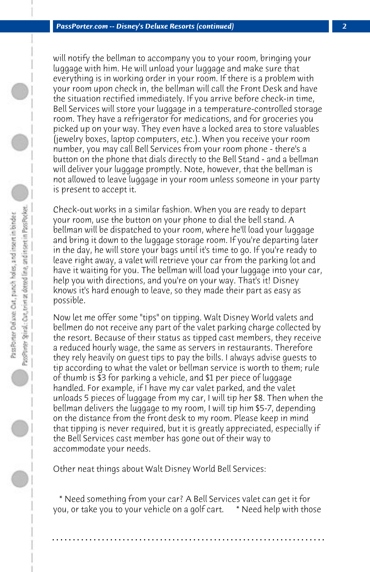will notify the bellman to accompany you to your room, bringing your luggage with him. He will unload your luggage and make sure that everything is in working order in your room. If there is a problem with your room upon check in, the bellman will call the Front Desk and have the situation rectified immediately. If you arrive before check-in time, Bell Services will store your luggage in a temperature-controlled storage room. They have a refrigerator for medications, and for groceries you picked up on your way. They even have a locked area to store valuables (jewelry boxes, laptop computers, etc.). When you receive your room number, you may call Bell Services from your room phone - there's a button on the phone that dials directly to the Bell Stand - and a bellman will deliver your luggage promptly. Note, however, that the bellman is not allowed to leave luggage in your room unless someone in your party is present to accept it.

Check-out works in a similar fashion. When you are ready to depart your room, use the button on your phone to dial the bell stand. A bellman will be dispatched to your room, where he'll load your luggage and bring it down to the luggage storage room. If you're departing later in the day, he will store your bags until it's time to go. If you're ready to leave right away, a valet will retrieve your car from the parking lot and have it waiting for you. The bellman will load your luggage into your car, help you with directions, and you're on your way. That's it! Disney knows it's hard enough to leave, so they made their part as easy as possible.

Now let me offer some "tips" on tipping. Walt Disney World valets and bellmen do not receive any part of the valet parking charge collected by the resort. Because of their status as tipped cast members, they receive a reduced hourly wage, the same as servers in restaurants. Therefore they rely heavily on guest tips to pay the bills. I always advise guests to tip according to what the valet or bellman service is worth to them; rule of thumb is \$3 for parking a vehicle, and \$1 per piece of luggage handled. For example, if I have my car valet parked, and the valet unloads 5 pieces of luggage from my car, I will tip her \$8. Then when the bellman delivers the luggage to my room, I will tip him \$5-7, depending on the distance from the front desk to my room. Please keep in mind that tipping is never required, but it is greatly appreciated, especially if the Bell Services cast member has gone out of their way to accommodate your needs.

Other neat things about Walt Disney World Bell Services:

 \* Need something from your car? A Bell Services valet can get it for you, or take you to your vehicle on a golf cart. \* Need help with those

**. . . . . . . . . . . . . . . . . . . . . . . . . . . . . . . . . . . . . . . . . . . . . . . . . . . . . . . . . . . . . . . . . .**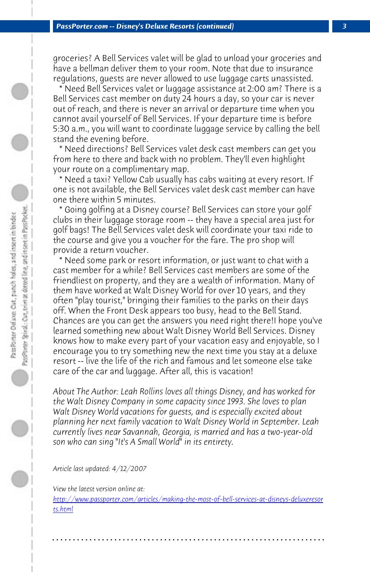*PassPorter.com -- Disney's Deluxe Resorts (continued) 3*

groceries? A Bell Services valet will be glad to unload your groceries and have a bellman deliver them to your room. Note that due to insurance regulations, guests are never allowed to use luggage carts unassisted.

 \* Need Bell Services valet or luggage assistance at 2:00 am? There is a Bell Services cast member on duty 24 hours a day, so your car is never out of reach, and there is never an arrival or departure time when you cannot avail yourself of Bell Services. If your departure time is before 5:30 a.m., you will want to coordinate luggage service by calling the bell stand the evening before.

 \* Need directions? Bell Services valet desk cast members can get you from here to there and back with no problem. They'll even highlight your route on a complimentary map.

 \* Need a taxi? Yellow Cab usually has cabs waiting at every resort. If one is not available, the Bell Services valet desk cast member can have one there within 5 minutes.

 \* Going golfing at a Disney course? Bell Services can store your golf clubs in their luggage storage room -- they have a special area just for golf bags! The Bell Services valet desk will coordinate your taxi ride to the course and give you a voucher for the fare. The pro shop will provide a return voucher.

 \* Need some park or resort information, or just want to chat with a cast member for a while? Bell Services cast members are some of the friendliest on property, and they are a wealth of information. Many of them have worked at Walt Disney World for over 10 years, and they often "play tourist," bringing their families to the parks on their days off. When the Front Desk appears too busy, head to the Bell Stand. Chances are you can get the answers you need right there!I hope you've [learned something new about Walt Disney World Bell Services. Disney](http://www.passporter.com/articles/making-the-most-of-bell-services-at-disneys-deluxeresorts.php) [know](http://www.passporter.com/articles/making-the-most-of-bell-services-at-disneys-deluxeresorts.php)s how to make every part of your vacation easy and enjoyable, so I encourage you to try something new the next time you stay at a deluxe resort -- live the life of the rich and famous and let someone else take care of the car and luggage. After all, this is vacation!

*About The Author: Leah Rollins loves all things Disney, and has worked for the Walt Disney Company in some capacity since 1993. She loves to plan Walt Disney World vacations for guests, and is especially excited about planning her next family vacation to Walt Disney World in September. Leah currently lives near Savannah, Georgia, is married and has a two-year-old son who can sing "It's A Small World" in its entirety.*

*Article last updated: 4/12/2007*

*View the latest version online at:* 

*http://www.passporter.com/articles/making-the-most-of-bell-services-at-disneys-deluxeresor ts.html*

**. . . . . . . . . . . . . . . . . . . . . . . . . . . . . . . . . . . . . . . . . . . . . . . . . . . . . . . . . . . . . . . . . .**